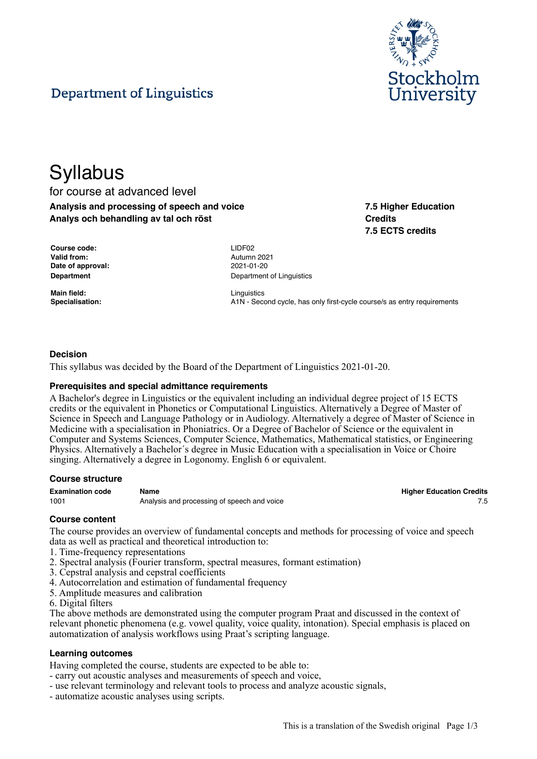

# Department of Linguistics

# **Syllabus**

### for course at advanced level **Analysis and processing of speech and voice Analys och behandling av tal och röst**

**7.5 Higher Education Credits 7.5 ECTS credits**

| Course code:      | LIDF <sub>02</sub> |
|-------------------|--------------------|
| Valid from:       | Autumr             |
| Date of approval: | $2021 - 0$         |
| Department        | Depart             |

**Main field:** Linguistics

**Valid from:** Autumn 2021 **Date of approval:** 2021-01-20 **Department of Linguistics** 

**Specialisation:** A1N - Second cycle, has only first-cycle course/s as entry requirements

#### **Decision**

This syllabus was decided by the Board of the Department of Linguistics 2021-01-20.

#### **Prerequisites and special admittance requirements**

A Bachelor's degree in Linguistics or the equivalent including an individual degree project of 15 ECTS credits or the equivalent in Phonetics or Computational Linguistics. Alternatively a Degree of Master of Science in Speech and Language Pathology or in Audiology. Alternatively a degree of Master of Science in Medicine with a specialisation in Phoniatrics. Or a Degree of Bachelor of Science or the equivalent in Computer and Systems Sciences, Computer Science, Mathematics, Mathematical statistics, or Engineering Physics. Alternatively a Bachelor´s degree in Music Education with a specialisation in Voice or Choire singing. Alternatively a degree in Logonomy. English 6 or equivalent.

#### **Course structure**

1001 **Analysis and processing of speech and voice** 7.5 and 1001

**Examination code Name Higher Education Credits**

#### **Course content**

The course provides an overview of fundamental concepts and methods for processing of voice and speech data as well as practical and theoretical introduction to:

- 1. Time-frequency representations
- 2. Spectral analysis (Fourier transform, spectral measures, formant estimation)
- 3. Cepstral analysis and cepstral coefficients
- 4. Autocorrelation and estimation of fundamental frequency
- 5. Amplitude measures and calibration
- 6. Digital filters

The above methods are demonstrated using the computer program Praat and discussed in the context of relevant phonetic phenomena (e.g. vowel quality, voice quality, intonation). Special emphasis is placed on automatization of analysis workflows using Praat's scripting language.

#### **Learning outcomes**

Having completed the course, students are expected to be able to:

- carry out acoustic analyses and measurements of speech and voice,
- use relevant terminology and relevant tools to process and analyze acoustic signals,
- automatize acoustic analyses using scripts.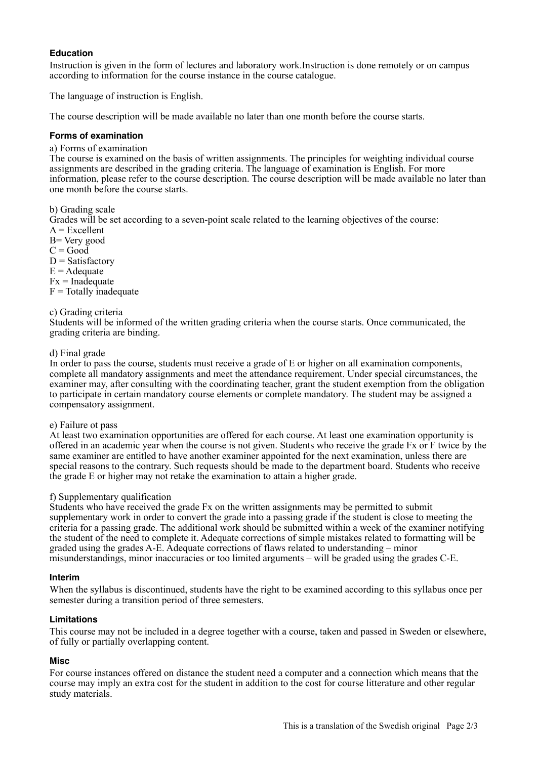#### **Education**

Instruction is given in the form of lectures and laboratory work.Instruction is done remotely or on campus according to information for the course instance in the course catalogue.

The language of instruction is English.

The course description will be made available no later than one month before the course starts.

#### **Forms of examination**

a) Forms of examination

The course is examined on the basis of written assignments. The principles for weighting individual course assignments are described in the grading criteria. The language of examination is English. For more information, please refer to the course description. The course description will be made available no later than one month before the course starts.

b) Grading scale

Grades will be set according to a seven-point scale related to the learning objectives of the course:  $A = Excellent$ 

- B= Very good
- $C = Good$
- $D = Satisfactory$
- $E =$  Adequate
- $Fx = Inad$ equate
- $F = \text{Totallv}$  inadequate

#### c) Grading criteria

Students will be informed of the written grading criteria when the course starts. Once communicated, the grading criteria are binding.

#### d) Final grade

In order to pass the course, students must receive a grade of E or higher on all examination components, complete all mandatory assignments and meet the attendance requirement. Under special circumstances, the examiner may, after consulting with the coordinating teacher, grant the student exemption from the obligation to participate in certain mandatory course elements or complete mandatory. The student may be assigned a compensatory assignment.

#### e) Failure ot pass

At least two examination opportunities are offered for each course. At least one examination opportunity is offered in an academic year when the course is not given. Students who receive the grade Fx or F twice by the same examiner are entitled to have another examiner appointed for the next examination, unless there are special reasons to the contrary. Such requests should be made to the department board. Students who receive the grade E or higher may not retake the examination to attain a higher grade.

#### f) Supplementary qualification

Students who have received the grade Fx on the written assignments may be permitted to submit supplementary work in order to convert the grade into a passing grade if the student is close to meeting the criteria for a passing grade. The additional work should be submitted within a week of the examiner notifying the student of the need to complete it. Adequate corrections of simple mistakes related to formatting will be graded using the grades A-E. Adequate corrections of flaws related to understanding – minor misunderstandings, minor inaccuracies or too limited arguments – will be graded using the grades C-E.

#### **Interim**

When the syllabus is discontinued, students have the right to be examined according to this syllabus once per semester during a transition period of three semesters.

#### **Limitations**

This course may not be included in a degree together with a course, taken and passed in Sweden or elsewhere, of fully or partially overlapping content.

#### **Misc**

For course instances offered on distance the student need a computer and a connection which means that the course may imply an extra cost for the student in addition to the cost for course litterature and other regular study materials.